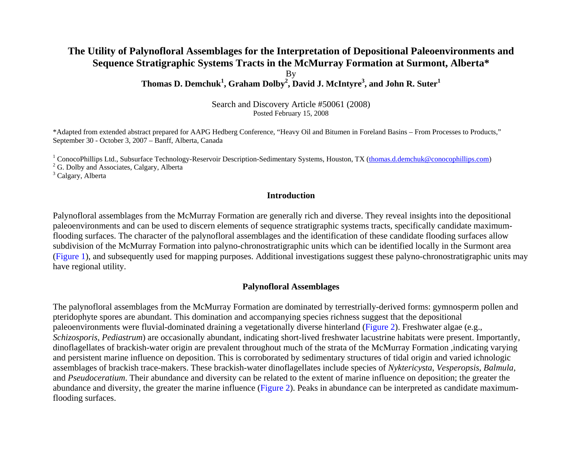## **The Utility of Palynofloral Assemblages for the Interpretation of Depositional Paleoenvironments and Sequence Stratigraphic Systems Tracts in the McMurray Formation at Surmont, Alberta\***

By

**Thomas D. Demchuk1, Graham Dolby2, David J. McIntyre3, and John R. Suter1**

Search and Discovery Article #50061 (2008) Posted February 15, 2008

\*Adapted from extended abstract prepared for AAPG Hedberg Conference, "Heavy Oil and Bitumen in Foreland Basins – From Processes to Products," September 30 - October 3, 2007 – Banff, Alberta, Canada

<sup>1</sup> ConocoPhillips Ltd., Subsurface Technology-Reservoir Description-Sedimentary Systems, Houston, TX ([thomas.d.demchuk@conocophillips.com\)](mailto:thomas.d.demchuk@conocophillips.com)

<sup>2</sup> G. Dolby and Associates, Calgary, Alberta

<sup>3</sup> Calgary, Alberta

### **Introduction**

Palynofloral assemblages from the McMurray Formation are generally rich and diverse. They reveal insights into the depositional paleoenvironments and can be used to discern elements of sequence stratigraphic systems tracts, specifically candidate maximumflooding surfaces. The character of the palynofloral assemblages and the identification of these candidate flooding surfaces allow subdivision of the McMurray Formation into palyno-chronostratigraphic units which can be identified locally in the Surmont area [\(Figure 1\)](#page-2-0), and subsequently used for mapping purposes. Additional investigations suggest these palyno-chronostratigraphic units may have regional utility.

#### **Palynofloral Assemblages**

The palynofloral assemblages from the McMurray Formation are dominated by terrestrially-derived forms: gymnosperm pollen and pteridophyte spores are abundant. This domination and accompanying species richness suggest that the depositional paleoenvironments were fluvial-dominated draining a vegetationally diverse hinterland [\(Figure 2\)](#page-3-0). Freshwater algae (e.g., *Schizosporis*, *Pediastrum*) are occasionally abundant, indicating short-lived freshwater lacustrine habitats were present. Importantly, dinoflagellates of brackish-water origin are prevalent throughout much of the strata of the McMurray Formation ,indicating varying and persistent marine influence on deposition. This is corroborated by sedimentary structures of tidal origin and varied ichnologic assemblages of brackish trace-makers. These brackish-water dinoflagellates include species of *Nyktericysta*, *Vesperopsis*, *Balmula,* and *Pseudoceratium*. Their abundance and diversity can be related to the extent of marine influence on deposition; the greater the abundance and diversity, the greater the marine influence [\(Figure 2\)](#page-3-0). Peaks in abundance can be interpreted as candidate maximumflooding surfaces.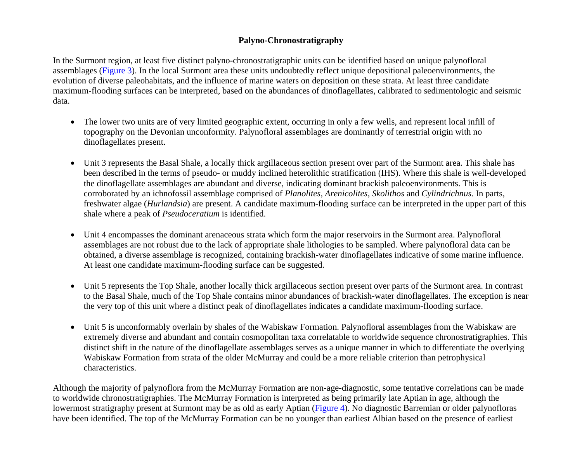# **Palyno-Chronostratigraphy**

In the Surmont region, at least five distinct palyno-chronostratigraphic units can be identified based on unique palynofloral assemblages [\(Figure 3\)](#page-4-0). In the local Surmont area these units undoubtedly reflect unique depositional paleoenvironments, the evolution of diverse paleohabitats, and the influence of marine waters on deposition on these strata. At least three candidate maximum-flooding surfaces can be interpreted, based on the abundances of dinoflagellates, calibrated to sedimentologic and seismic data.

- The lower two units are of very limited geographic extent, occurring in only a few wells, and represent local infill of topography on the Devonian unconformity. Palynofloral assemblages are dominantly of terrestrial origin with no dinoflagellates present.
- Unit 3 represents the Basal Shale, a locally thick argillaceous section present over part of the Surmont area. This shale has been described in the terms of pseudo- or muddy inclined heterolithic stratification (IHS). Where this shale is well-developed the dinoflagellate assemblages are abundant and diverse, indicating dominant brackish paleoenvironments. This is corroborated by an ichnofossil assemblage comprised of *Planolites*, *Arenicolites*, *Skolithos* and *Cylindrichnus*. In parts, freshwater algae (*Hurlandsia*) are present. A candidate maximum-flooding surface can be interpreted in the upper part of this shale where a peak of *Pseudoceratium* is identified.
- Unit 4 encompasses the dominant arenaceous strata which form the major reservoirs in the Surmont area. Palynofloral assemblages are not robust due to the lack of appropriate shale lithologies to be sampled. Where palynofloral data can be obtained, a diverse assemblage is recognized, containing brackish-water dinoflagellates indicative of some marine influence. At least one candidate maximum-flooding surface can be suggested.
- Unit 5 represents the Top Shale, another locally thick argillaceous section present over parts of the Surmont area. In contrast to the Basal Shale, much of the Top Shale contains minor abundances of brackish-water dinoflagellates. The exception is near the very top of this unit where a distinct peak of dinoflagellates indicates a candidate maximum-flooding surface.
- Unit 5 is unconformably overlain by shales of the Wabiskaw Formation. Palynofloral assemblages from the Wabiskaw are extremely diverse and abundant and contain cosmopolitan taxa correlatable to worldwide sequence chronostratigraphies. This distinct shift in the nature of the dinoflagellate assemblages serves as a unique manner in which to differentiate the overlying Wabiskaw Formation from strata of the older McMurray and could be a more reliable criterion than petrophysical characteristics.

Although the majority of palynoflora from the McMurray Formation are non-age-diagnostic, some tentative correlations can be made to worldwide chronostratigraphies. The McMurray Formation is interpreted as being primarily late Aptian in age, although the lowermost stratigraphy present at Surmont may be as old as early Aptian [\(Figure 4\)](#page-5-0). No diagnostic Barremian or older palynofloras have been identified. The top of the McMurray Formation can be no younger than earliest Albian based on the presence of earliest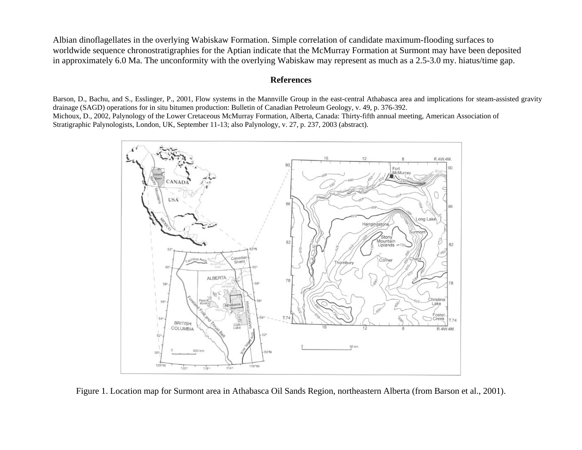<span id="page-2-0"></span>Albian dinoflagellates in the overlying Wabiskaw Formation. Simple correlation of candidate maximum-flooding surfaces to worldwide sequence chronostratigraphies for the Aptian indicate that the McMurray Formation at Surmont may have been deposited in approximately 6.0 Ma. The unconformity with the overlying Wabiskaw may represent as much as a 2.5-3.0 my. hiatus/time gap.

### **References**

Barson, D., Bachu, and S., Esslinger, P., 2001, Flow systems in the Mannville Group in the east-central Athabasca area and implications for steam-assisted gravity drainage (SAGD) operations for in situ bitumen production: Bulletin of Canadian Petroleum Geology, v. 49, p. 376-392. Michoux, D., 2002, Palynology of the Lower Cretaceous McMurray Formation, Alberta, Canada: Thirty-fifth annual meeting, American Association of Stratigraphic Palynologists, London, UK, September 11-13; also Palynology, v. 27, p. 237, 2003 (abstract).



Figure 1. Location map for Surmont area in Athabasca Oil Sands Region, northeastern Alberta (from Barson et al., 2001).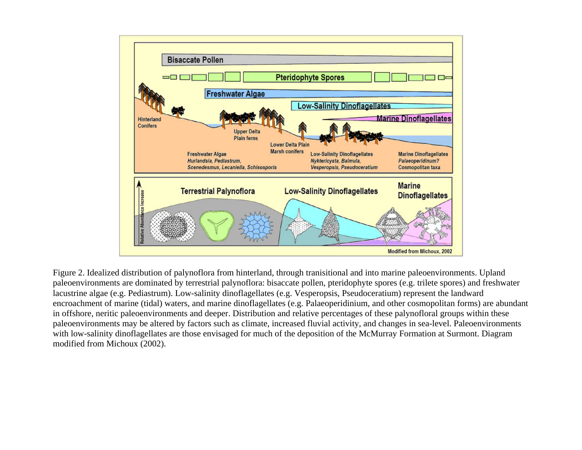<span id="page-3-0"></span>

Figure 2. Idealized distribution of palynoflora from hinterland, through tranisitional and into marine paleoenvironments. Upland paleoenvironments are dominated by terrestrial palynoflora: bisaccate pollen, pteridophyte spores (e.g. trilete spores) and freshwater lacustrine algae (e.g. Pediastrum). Low-salinity dinoflagellates (e.g. Vesperopsis, Pseudoceratium) represent the landward encroachment of marine (tidal) waters, and marine dinoflagellates (e.g. Palaeoperidinium, and other cosmopolitan forms) are abundant in offshore, neritic paleoenvironments and deeper. Distribution and relative percentages of these palynofloral groups within these paleoenvironments may be altered by factors such as climate, increased fluvial activity, and changes in sea-level. Paleoenvironments with low-salinity dinoflagellates are those envisaged for much of the deposition of the McMurray Formation at Surmont. Diagram modified from Michoux (2002).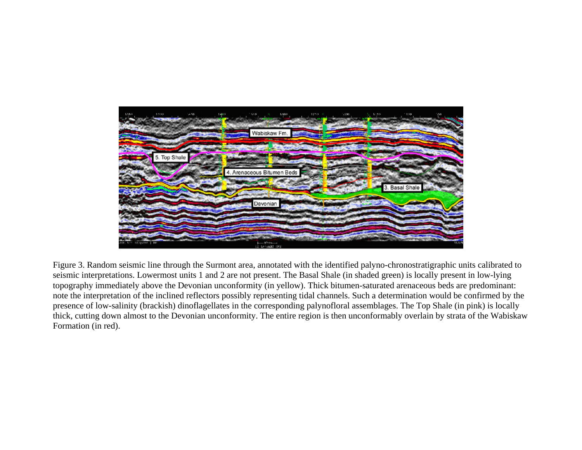<span id="page-4-0"></span>

Figure 3. Random seismic line through the Surmont area, annotated with the identified palyno-chronostratigraphic units calibrated to seismic interpretations. Lowermost units 1 and 2 are not present. The Basal Shale (in shaded green) is locally present in low-lying topography immediately above the Devonian unconformity (in yellow). Thick bitumen-saturated arenaceous beds are predominant: note the interpretation of the inclined reflectors possibly representing tidal channels. Such a determination would be confirmed by the presence of low-salinity (brackish) dinoflagellates in the corresponding palynofloral assemblages. The Top Shale (in pink) is locally thick, cutting down almost to the Devonian unconformity. The entire region is then unconformably overlain by strata of the Wabiskaw Formation (in red).